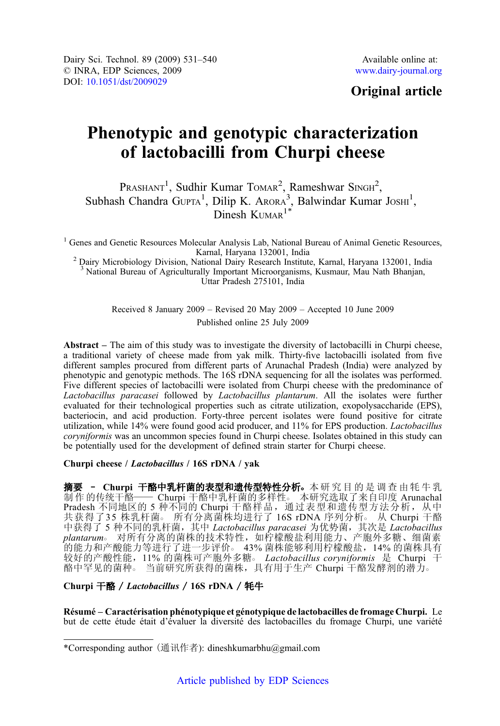# Original article

# Phenotypic and genotypic characterization of lactobacilli from Churpi cheese

 $P_{RASHANT}^{1}$ , Sudhir Kumar TOMAR<sup>2</sup>, Rameshwar SINGH<sup>2</sup>, Subhash Chandra GUPTA<sup>1</sup>, Dilip K. ARORA<sup>3</sup>, Balwindar Kumar JOSHI<sup>1</sup>, Dinesh  $K<sub>UMAR</sub><sup>1*</sup>$ 

<sup>1</sup> Genes and Genetic Resources Molecular Analysis Lab, National Bureau of Animal Genetic Resources,<br>Karnal, Haryana 132001, India

<sup>2</sup> Dairy Microbiology Division, National Dairy Research Institute, Karnal, Haryana 132001, India <sup>3</sup> National Bureau of Agriculturally Important Microorganisms, Kusmaur, Mau Nath Bhanjan, Uttar Pradesh 275101, India

> Received 8 January 2009 – Revised 20 May 2009 – Accepted 10 June 2009 Published online 25 July 2009

Abstract – The aim of this study was to investigate the diversity of lactobacilli in Churpi cheese, a traditional variety of cheese made from yak milk. Thirty-five lactobacilli isolated from five different samples procured from different parts of Arunachal Pradesh (India) were analyzed by phenotypic and genotypic methods. The 16S rDNA sequencing for all the isolates was performed. Five different species of lactobacilli were isolated from Churpi cheese with the predominance of Lactobacillus paracasei followed by Lactobacillus plantarum. All the isolates were further evaluated for their technological properties such as citrate utilization, exopolysaccharide (EPS), bacteriocin, and acid production. Forty-three percent isolates were found positive for citrate utilization, while 14% were found good acid producer, and 11% for EPS production. Lactobacillus coryniformis was an uncommon species found in Churpi cheese. Isolates obtained in this study can be potentially used for the development of defined strain starter for Churpi cheese.

#### Churpi cheese / Lactobacillus / 16S rDNA / yak

摘要 - Churpi 干酪中乳杆菌的表型和遗传型特性分析。本研究目的是调查由牦牛乳 制作的传统干酪—— Churpi 干酪中乳杆菌的多样性。 本研究选取了来自印度 Arunachal Pradesh 不同地区的 5 种不同的 Churpi 干酪样品, 通过表型和遗传型方法分析, 从中 共获得了35 株乳杆菌。 所有分离菌株均进行了 16S rDNA 序列分析。 从 Churpi 干酪 中获得了 5 种不同的乳杆菌, 其中 Lactobacillus paracasei 为优势菌, 其次是 Lactobacillus plantarum。 对所有分离的菌株的技术特性,如柠檬酸盐利用能力、产胞外多糖、细菌素 的能力和产酸能力等进行了进一步评价○ 43% 菌株能够利用柠檬酸盐,14% 的菌株具有 较好的产酸性能, 11% 的菌株可产胞外多糖。 *Lactobacillus coryniformis* 是 Churpi 干 酪中罕见的菌种。当前研究所获得的菌株,具有用于生产 Churpi 干酪发酵剂的潜力。

# Churpi 干酪 / Lactobacillus / 16S rDNA / 牦牛

Résumé – Caractérisation phénotypique et génotypique de lactobacilles de fromage Churpi. Le but de cette étude était d'évaluer la diversité des lactobacilles du fromage Churpi, une variété

<sup>\*</sup>Corresponding author (通讯作者): dineshkumarbhu@gmail.com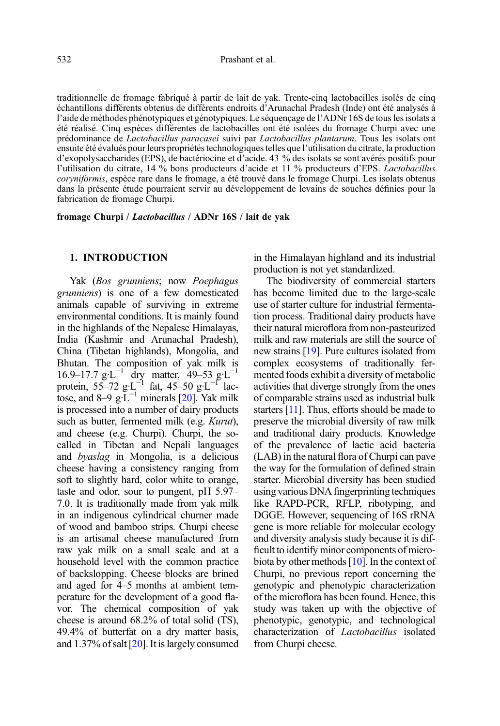traditionnelle de fromage fabriqué à partir de lait de yak. Trente-cinq lactobacilles isolés de cinq échantillons différents obtenus de différents endroits d'Arunachal Pradesh (Inde) ont été analysés à l'aide de méthodes phénotypiques et génotypiques. Le séquençage de l'ADNr 16S de tous les isolats a été réalisé. Cinq espèces différentes de lactobacilles ont été isolées du fromage Churpi avec une prédominance de Lactobacillus paracasei suivi par Lactobacillus plantarum. Tous les isolats ont ensuite été évalués pour leurs propriétés technologiques telles que l'utilisation du citrate, la production d'exopolysaccharides (EPS), de bactériocine et d'acide. 43 % des isolats se sont avérés positifs pour l'utilisation du citrate, 14 % bons producteurs d'acide et 11 % producteurs d'EPS. Lactobacillus coryniformis, espèce rare dans le fromage, a été trouvé dans le fromage Churpi. Les isolats obtenus dans la présente étude pourraient servir au développement de levains de souches définies pour la fabrication de fromage Churpi.

fromage Churpi / Lactobacillus / ADNr 16S / lait de yak

#### 1. INTRODUCTION

Yak (Bos grunniens; now Poephagus grunniens) is one of a few domesticated animals capable of surviving in extreme environmental conditions. It is mainly found in the highlands of the Nepalese Himalayas, India (Kashmir and Arunachal Pradesh), China (Tibetan highlands), Mongolia, and Bhutan. The composition of yak milk is 16.9–17.7 g·L−<sup>1</sup> dry matter, 49–53 g·L−<sup>1</sup> protein, 55–72 g·L<sup>-1</sup> fat, 45–50 g·L<sup>-1</sup> lactose, and 8–9  $g \cdot \widetilde{L}^{-1}$  minerals [\[20\]](#page-9-0). Yak milk is processed into a number of dairy products such as butter, fermented milk (e.g. Kurut), and cheese (e.g. Churpi). Churpi, the socalled in Tibetan and Nepali languages and byaslag in Mongolia, is a delicious cheese having a consistency ranging from soft to slightly hard, color white to orange, taste and odor, sour to pungent, pH 5.97– 7.0. It is traditionally made from yak milk in an indigenous cylindrical churner made of wood and bamboo strips. Churpi cheese is an artisanal cheese manufactured from raw yak milk on a small scale and at a household level with the common practice of backslopping. Cheese blocks are brined and aged for 4–5 months at ambient temperature for the development of a good flavor. The chemical composition of yak cheese is around 68.2% of total solid (TS), 49.4% of butterfat on a dry matter basis, and 1.37% of salt [[20](#page-9-0)]. It is largely consumed in the Himalayan highland and its industrial production is not yet standardized.

The biodiversity of commercial starters has become limited due to the large-scale use of starter culture for industrial fermentation process. Traditional dairy products have their natural microflora from non-pasteurized milk and raw materials are still the source of new strains [[19](#page-9-0)]. Pure cultures isolated from complex ecosystems of traditionally fermented foods exhibit a diversity of metabolic activities that diverge strongly from the ones of comparable strains used as industrial bulk starters [\[11](#page-9-0)]. Thus, efforts should be made to preserve the microbial diversity of raw milk and traditional dairy products. Knowledge of the prevalence of lactic acid bacteria (LAB) in the natural flora of Churpi can pave the way for the formulation of defined strain starter. Microbial diversity has been studied using various DNA fingerprinting techniques like RAPD-PCR, RFLP, ribotyping, and DGGE. However, sequencing of 16S rRNA gene is more reliable for molecular ecology and diversity analysis study because it is difficult to identify minor components of microbiota by other methods [\[10\]](#page-9-0). In the context of Churpi, no previous report concerning the genotypic and phenotypic characterization of the microflora has been found. Hence, this study was taken up with the objective of phenotypic, genotypic, and technological characterization of Lactobacillus isolated from Churpi cheese.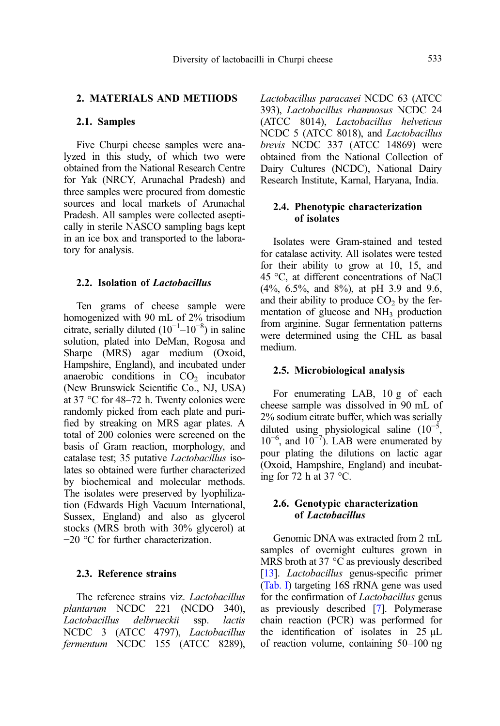# 2. MATERIALS AND METHODS

#### 2.1. Samples

Five Churpi cheese samples were analyzed in this study, of which two were obtained from the National Research Centre for Yak (NRCY, Arunachal Pradesh) and three samples were procured from domestic sources and local markets of Arunachal Pradesh. All samples were collected aseptically in sterile NASCO sampling bags kept in an ice box and transported to the laboratory for analysis.

### 2.2. Isolation of Lactobacillus

Ten grams of cheese sample were homogenized with 90 mL of 2% trisodium citrate, serially diluted  $(10^{-1}$ - $10^{-8})$  in saline solution, plated into DeMan, Rogosa and Sharpe (MRS) agar medium (Oxoid, Hampshire, England), and incubated under anaerobic conditions in  $CO<sub>2</sub>$  incubator (New Brunswick Scientific Co., NJ, USA) at 37 °C for 48–72 h. Twenty colonies were randomly picked from each plate and purified by streaking on MRS agar plates. A total of 200 colonies were screened on the basis of Gram reaction, morphology, and catalase test; 35 putative Lactobacillus isolates so obtained were further characterized by biochemical and molecular methods. The isolates were preserved by lyophilization (Edwards High Vacuum International, Sussex, England) and also as glycerol stocks (MRS broth with 30% glycerol) at −20 °C for further characterization.

# 2.3. Reference strains

The reference strains viz. Lactobacillus plantarum NCDC 221 (NCDO 340), Lactobacillus delbrueckii ssp. lactis NCDC 3 (ATCC 4797), Lactobacillus fermentum NCDC 155 (ATCC 8289),

Lactobacillus paracasei NCDC 63 (ATCC 393), Lactobacillus rhamnosus NCDC 24 (ATCC 8014), Lactobacillus helveticus NCDC 5 (ATCC 8018), and Lactobacillus brevis NCDC 337 (ATCC 14869) were obtained from the National Collection of Dairy Cultures (NCDC), National Dairy Research Institute, Karnal, Haryana, India.

### 2.4. Phenotypic characterization of isolates

Isolates were Gram-stained and tested for catalase activity. All isolates were tested for their ability to grow at 10, 15, and 45 °C, at different concentrations of NaCl (4%, 6.5%, and 8%), at pH 3.9 and 9.6, and their ability to produce  $CO<sub>2</sub>$  by the fermentation of glucose and  $NH<sub>3</sub>$  production from arginine. Sugar fermentation patterns were determined using the CHL as basal medium.

#### 2.5. Microbiological analysis

For enumerating LAB, 10 g of each cheese sample was dissolved in 90 mL of 2% sodium citrate buffer, which was serially diluted using physiological saline  $(10^{-5},$ 10<sup>-6</sup>, and 10<sup>-7</sup>). LAB were enumerated by pour plating the dilutions on lactic agar (Oxoid, Hampshire, England) and incubating for 72 h at 37  $\degree$ C.

#### 2.6. Genotypic characterization of Lactobacillus

Genomic DNA was extracted from 2 mL samples of overnight cultures grown in MRS broth at 37 °C as previously described [[13\]](#page-9-0). *Lactobacillus* genus-specific primer ([Tab. I\)](#page-3-0) targeting 16S rRNA gene was used for the confirmation of Lactobacillus genus as previously described [\[7\]](#page-9-0). Polymerase chain reaction (PCR) was performed for the identification of isolates in 25 μL of reaction volume, containing 50–100 ng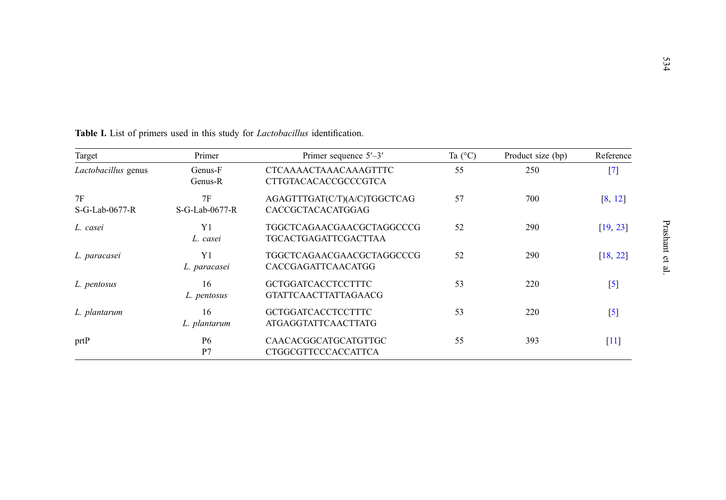| Target                 | Primer<br>Primer sequence $5'-3'$ |                                                             | Ta $(^{\circ}C)$ | Product size (bp) | Reference |
|------------------------|-----------------------------------|-------------------------------------------------------------|------------------|-------------------|-----------|
| Lactobacillus genus    | Genus-F<br>Genus-R                | <b>CTCAAAACTAAACAAAGTTTC</b><br><b>CTTGTACACACCGCCCGTCA</b> | 55               | 250               | $^{[7]}$  |
| 7F<br>$S-G-Lab-0677-R$ | 7F<br>S-G-Lab-0677-R              | AGAGTTTGAT(C/T)(A/C)TGGCTCAG<br>CACCGCTACACATGGAG           | 57               | 700               | [8, 12]   |
| L. casei               | Y1<br>L. casei                    | TGGCTCAGAACGAACGCTAGGCCCG<br>TGCACTGAGATTCGACTTAA           | 52               | 290               | [19, 23]  |
| L. paracasei           | Y1<br>L. paracasei                | TGGCTCAGAACGAACGCTAGGCCCG<br>CACCGAGATTCAACATGG             | 52               | 290               | [18, 22]  |
| L. pentosus            | 16<br>L. pentosus                 | <b>GCTGGATCACCTCCTTTC</b><br><b>GTATTCA ACTTATTAGA ACG</b>  | 53               | 220               | $^{[5]}$  |
| L. plantarum           | 16<br>L. plantarum                | <b>GCTGGATCACCTCCTTTC</b><br><b>ATGAGGTATTCAACTTATG</b>     | 53               | 220               | $[5]$     |
| prtP                   | P <sub>6</sub><br>P7              | CAACACGGCATGCATGTTGC<br>CTGGCGTTCCCACCATTCA                 | 55               | 393               | [11]      |

<span id="page-3-0"></span>

|  |  |  |  |  | <b>Table I.</b> List of primers used in this study for <i>Lactobacillus</i> identification. |  |
|--|--|--|--|--|---------------------------------------------------------------------------------------------|--|
|  |  |  |  |  |                                                                                             |  |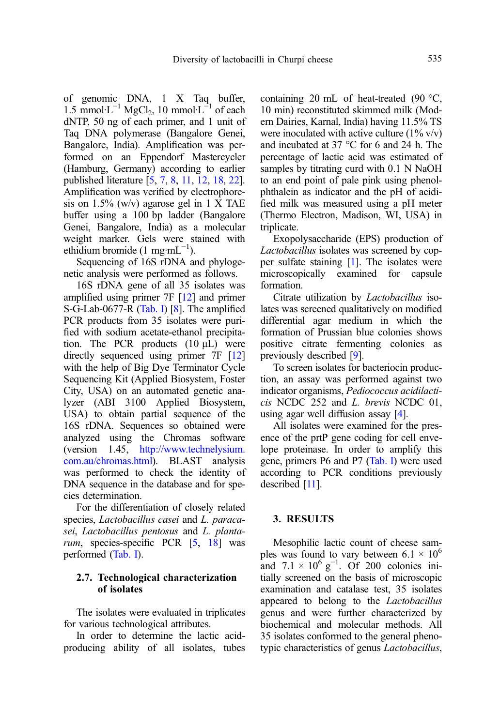of genomic DNA, 1 X Taq buffer,  $1.5 \text{ mmol·L}^{-1} \text{ MgCl}_2$ , 10 mmol·L<sup>-1</sup> of each dNTP, 50 ng of each primer, and 1 unit of Taq DNA polymerase (Bangalore Genei, Bangalore, India). Amplification was performed on an Eppendorf Mastercycler (Hamburg, Germany) according to earlier published literature [[5](#page-9-0), [7,](#page-9-0) [8,](#page-9-0) [11](#page-9-0), [12](#page-9-0), [18](#page-9-0), [22](#page-9-0)]. Amplification was verified by electrophoresis on 1.5% (w/v) agarose gel in 1 X TAE buffer using a 100 bp ladder (Bangalore Genei, Bangalore, India) as a molecular weight marker. Gels were stained with ethidium bromide (1 mg·mL<sup>-1</sup>).

Sequencing of 16S rDNA and phylogenetic analysis were performed as follows.

16S rDNA gene of all 35 isolates was amplified using primer 7F [\[12\]](#page-9-0) and primer S-G-Lab-0677-R [\(Tab. I\)](#page-3-0) [\[8](#page-9-0)]. The amplified PCR products from 35 isolates were purified with sodium acetate-ethanol precipitation. The PCR products  $(10 \mu L)$  were directly sequenced using primer 7F [[12](#page-9-0)] with the help of Big Dye Terminator Cycle Sequencing Kit (Applied Biosystem, Foster City, USA) on an automated genetic analyzer (ABI 3100 Applied Biosystem, USA) to obtain partial sequence of the 16S rDNA. Sequences so obtained were analyzed using the Chromas software (version 1.45, [http://www.technelysium.](http://www.technelysium.com.au/chromas.html) [com.au/chromas.html\)](http://www.technelysium.com.au/chromas.html). BLAST analysis was performed to check the identity of DNA sequence in the database and for species determination.

For the differentiation of closely related species, Lactobacillus casei and L. paracasei, Lactobacillus pentosus and L. planta-rum, species-specific PCR [\[5](#page-9-0), [18](#page-9-0)] was performed ([Tab. I\)](#page-3-0).

#### 2.7. Technological characterization of isolates

The isolates were evaluated in triplicates for various technological attributes.

In order to determine the lactic acidproducing ability of all isolates, tubes containing 20 mL of heat-treated (90 °C, 10 min) reconstituted skimmed milk (Modern Dairies, Karnal, India) having 11.5% TS were inoculated with active culture  $(1\% \text{ v/v})$ and incubated at 37 °C for 6 and 24 h. The percentage of lactic acid was estimated of samples by titrating curd with 0.1 N NaOH to an end point of pale pink using phenolphthalein as indicator and the pH of acidified milk was measured using a pH meter (Thermo Electron, Madison, WI, USA) in triplicate.

Exopolysaccharide (EPS) production of Lactobacillus isolates was screened by copper sulfate staining [\[1\]](#page-9-0). The isolates were microscopically examined for capsule formation.

Citrate utilization by Lactobacillus isolates was screened qualitatively on modified differential agar medium in which the formation of Prussian blue colonies shows positive citrate fermenting colonies as previously described [\[9](#page-9-0)].

To screen isolates for bacteriocin production, an assay was performed against two indicator organisms, Pediococcus acidilacticis NCDC 252 and L. brevis NCDC 01, using agar well diffusion assay [\[4\]](#page-9-0).

All isolates were examined for the presence of the prtP gene coding for cell envelope proteinase. In order to amplify this gene, primers P6 and P7 ([Tab. I](#page-3-0)) were used according to PCR conditions previously described [[11](#page-9-0)].

### 3. RESULTS

Mesophilic lactic count of cheese samples was found to vary between  $6.1 \times 10^6$ and  $7.1 \times 10^6$  g<sup>-1</sup>. Of 200 colonies initially screened on the basis of microscopic examination and catalase test, 35 isolates appeared to belong to the Lactobacillus genus and were further characterized by biochemical and molecular methods. All 35 isolates conformed to the general phenotypic characteristics of genus Lactobacillus,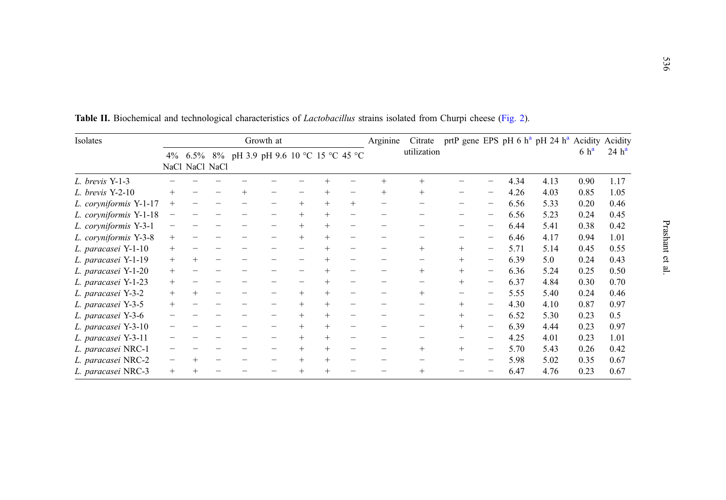| Isolates               |        |     |                |     | Growth at                                  |        |        |     | Arginine | Citrate     |        |                          |      | prtP gene EPS pH 6 $h^a$ pH 24 $h^a$ Acidity Acidity |                  |                   |
|------------------------|--------|-----|----------------|-----|--------------------------------------------|--------|--------|-----|----------|-------------|--------|--------------------------|------|------------------------------------------------------|------------------|-------------------|
|                        |        |     | NaCl NaCl NaCl |     | 4% 6.5% 8% pH 3.9 pH 9.6 10 °C 15 °C 45 °C |        |        |     |          | utilization |        |                          |      |                                                      | 6 h <sup>a</sup> | 24 h <sup>a</sup> |
| L. brevis Y-1-3        |        |     |                |     |                                            |        |        |     | $^{+}$   | $+$         |        |                          | 4.34 | 4.13                                                 | 0.90             | 1.17              |
| $L.$ brevis Y-2-10     | $^{+}$ |     |                | $+$ |                                            |        | $+$    |     | $+$      | $+$         |        |                          | 4.26 | 4.03                                                 | 0.85             | 1.05              |
| L. coryniformis Y-1-17 | $^{+}$ |     |                |     |                                            | $+$    | $+$    | $+$ |          |             |        |                          | 6.56 | 5.33                                                 | 0.20             | 0.46              |
| L. coryniformis Y-1-18 |        |     |                |     | $\overline{\phantom{0}}$                   | $+$    |        |     |          |             |        |                          | 6.56 | 5.23                                                 | 0.24             | 0.45              |
| L. coryniformis Y-3-1  |        |     |                |     | $\overline{\phantom{0}}$                   | $+$    | $+$    |     |          |             |        |                          | 6.44 | 5.41                                                 | 0.38             | 0.42              |
| L. coryniformis Y-3-8  | $^+$   |     |                |     |                                            | $+$    | $+$    |     |          |             |        |                          | 6.46 | 4.17                                                 | 0.94             | 1.01              |
| L. paracasei Y-1-10    | $^{+}$ |     |                |     |                                            |        |        |     |          | $^{+}$      | $+$    |                          | 5.71 | 5.14                                                 | 0.45             | 0.55              |
| L. paracasei Y-1-19    | $+$    | $+$ |                |     |                                            |        |        |     |          |             | $+$    |                          | 6.39 | 5.0                                                  | 0.24             | 0.43              |
| L. paracasei Y-1-20    | $+$    |     |                |     |                                            |        |        |     |          | $^{+}$      | $+$    |                          | 6.36 | 5.24                                                 | 0.25             | 0.50              |
| L. paracasei Y-1-23    | $^{+}$ |     |                |     |                                            |        |        |     |          | $\equiv$    | $^{+}$ | $\overline{\phantom{m}}$ | 6.37 | 4.84                                                 | 0.30             | 0.70              |
| L. paracasei Y-3-2     | $+$    | $+$ |                |     |                                            | $+$    | $+$    |     |          | $+$         |        |                          | 5.55 | 5.40                                                 | 0.24             | 0.46              |
| L. paracasei Y-3-5     | $^{+}$ |     |                |     |                                            | $+$    | $+$    |     |          |             | $+$    |                          | 4.30 | 4.10                                                 | 0.87             | 0.97              |
| L. paracasei Y-3-6     |        |     |                |     |                                            | $+$    | $^{+}$ |     |          |             | $+$    | $\overline{\phantom{m}}$ | 6.52 | 5.30                                                 | 0.23             | 0.5               |
| L. paracasei Y-3-10    |        |     |                |     |                                            | $+$    | $+$    |     |          |             | $+$    |                          | 6.39 | 4.44                                                 | 0.23             | 0.97              |
| L. paracasei Y-3-11    |        |     |                |     |                                            | $+$    | $+$    |     |          |             |        |                          | 4.25 | 4.01                                                 | 0.23             | 1.01              |
| L. paracasei NRC-1     |        |     |                |     | $\overline{\phantom{0}}$                   | $+$    | $+$    |     | -        | $+$         | $+$    | $\overline{\phantom{m}}$ | 5.70 | 5.43                                                 | 0.26             | 0.42              |
| L. paracasei NRC-2     |        |     |                |     |                                            | $^{+}$ | $^{+}$ |     |          |             |        |                          | 5.98 | 5.02                                                 | 0.35             | 0.67              |
| L. paracasei NRC-3     | $^{+}$ |     |                |     |                                            | $^{+}$ | $^{+}$ |     |          | $^{+}$      |        |                          | 6.47 | 4.76                                                 | 0.23             | 0.67              |

<span id="page-5-0"></span>Table II. Biochemical and technological characteristics of *Lactobacillus* strains isolated from Churpi cheese ([Fig.](#page-8-0) 2).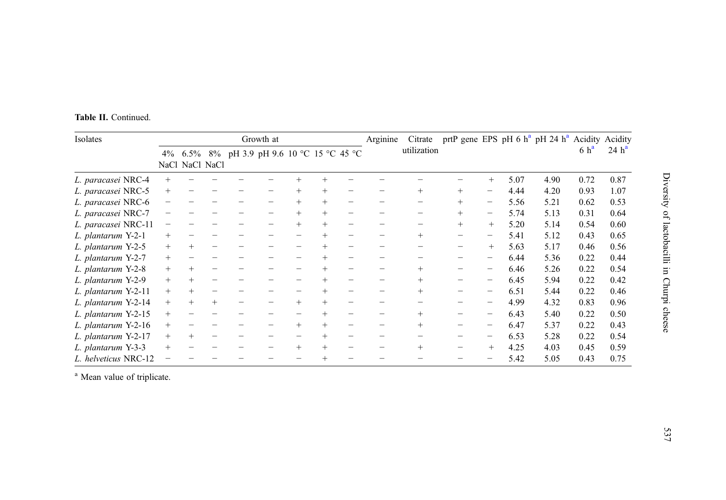<span id="page-6-0"></span>

|  |  |  | Table II. Continued. |  |
|--|--|--|----------------------|--|
|--|--|--|----------------------|--|

| Isolates             |                          |        |                | Growth at                               |        |        | Arginine | Citrate     | prtP gene EPS pH 6 $h^a$ pH 24 $h^a$ Acidity Acidity |                 |      |      |                  |                   |
|----------------------|--------------------------|--------|----------------|-----------------------------------------|--------|--------|----------|-------------|------------------------------------------------------|-----------------|------|------|------------------|-------------------|
|                      | $4\%$                    |        | NaCl NaCl NaCl | 6.5% 8% pH 3.9 pH 9.6 10 °C 15 °C 45 °C |        |        |          | utilization |                                                      |                 |      |      | 6 h <sup>a</sup> | 24 h <sup>a</sup> |
| L. paracasei NRC-4   | $^{+}$                   |        |                |                                         |        |        |          |             |                                                      | $+$             | 5.07 | 4.90 | 0.72             | 0.87              |
| L. paracasei NRC-5   | $^{+}$                   |        |                |                                         | $+$    | $+$    |          | $+$         | $+$                                                  |                 | 4.44 | 4.20 | 0.93             | 1.07              |
| L. paracasei NRC-6   | $\overline{\phantom{0}}$ |        |                |                                         | $+$    | $^{+}$ |          |             | $+$                                                  | $\qquad \qquad$ | 5.56 | 5.21 | 0.62             | 0.53              |
| L. paracasei NRC-7   |                          |        |                |                                         | $+$    | $^{+}$ |          |             | $+$                                                  |                 | 5.74 | 5.13 | 0.31             | 0.64              |
| L. paracasei NRC-11  |                          |        |                |                                         |        |        |          |             | $+$                                                  | $+$             | 5.20 | 5.14 | 0.54             | 0.60              |
| L. plantarum Y-2-1   | $+$                      |        |                |                                         |        |        |          | $+$         | -                                                    |                 | 5.41 | 5.12 | 0.43             | 0.65              |
| L. plantarum Y-2-5   | $+$                      | $+$    |                |                                         |        | $+$    |          |             |                                                      | $+$             | 5.63 | 5.17 | 0.46             | 0.56              |
| L. plantarum Y-2-7   | $+$                      |        |                |                                         |        |        |          |             | -                                                    |                 | 6.44 | 5.36 | 0.22             | 0.44              |
| L. plantarum Y-2-8   | $+$                      | $^{+}$ |                |                                         |        |        |          | $^{+}$      |                                                      |                 | 6.46 | 5.26 | 0.22             | 0.54              |
| L. plantarum Y-2-9   | $+$                      | $^{+}$ |                |                                         |        |        |          | $+$         |                                                      |                 | 6.45 | 5.94 | 0.22             | 0.42              |
| L. plantarum Y-2-11  | $^{+}$                   | $+$    |                |                                         |        |        |          | $+$         |                                                      |                 | 6.51 | 5.44 | 0.22             | 0.46              |
| L. plantarum Y-2-14  | $+$                      | $+$    | $+$            |                                         | $+$    | $+$    |          |             |                                                      |                 | 4.99 | 4.32 | 0.83             | 0.96              |
| L. plantarum Y-2-15  | $+$                      |        |                |                                         |        |        |          | $+$         |                                                      |                 | 6.43 | 5.40 | 0.22             | 0.50              |
| L. plantarum Y-2-16  | $+$                      |        |                |                                         | $+$    |        |          | $^{+}$      |                                                      |                 | 6.47 | 5.37 | 0.22             | 0.43              |
| L. plantarum Y-2-17  | $+$                      | $^{+}$ |                |                                         |        |        |          |             |                                                      |                 | 6.53 | 5.28 | 0.22             | 0.54              |
| L. plantarum Y-3-3   | $^{+}$                   |        |                |                                         | $^{+}$ |        |          | $+$         |                                                      | $^{+}$          | 4.25 | 4.03 | 0.45             | 0.59              |
| L. helveticus NRC-12 |                          |        |                |                                         |        |        |          |             |                                                      |                 | 5.42 | 5.05 | 0.43             | 0.75              |

<sup>a</sup> Mean value of triplicate.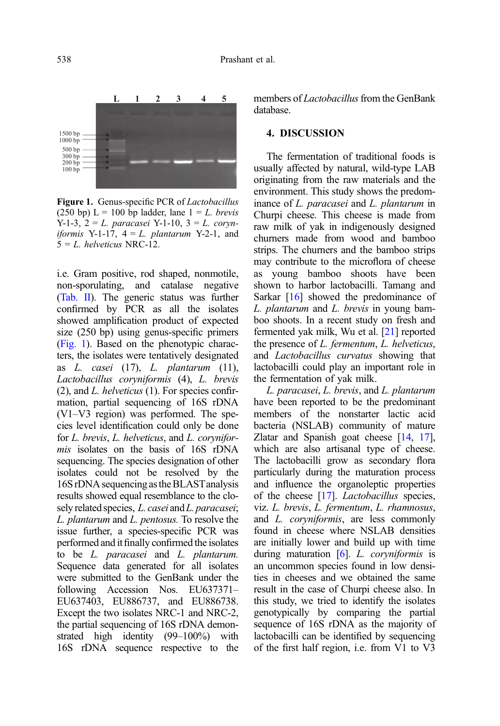

Figure 1. Genus-specific PCR of Lactobacillus (250 bp)  $L = 100$  bp ladder, lane  $1 = L$ , *brevis* Y-1-3,  $2 = L$ . paracasei Y-1-10,  $3 = L$ . coryn*iformis* Y-1-17,  $4 = L$ . *plantarum* Y-2-1, and  $5 = L$ . helyeticus NRC-12.

i.e. Gram positive, rod shaped, nonmotile, non-sporulating, and catalase negative [\(Tab. II\)](#page-5-0). The generic status was further confirmed by PCR as all the isolates showed amplification product of expected size (250 bp) using genus-specific primers (Fig. 1). Based on the phenotypic characters, the isolates were tentatively designated as  $L.$  casei (17),  $L.$  plantarum (11), Lactobacillus coryniformis (4), L. brevis  $(2)$ , and *L. helveticus*  $(1)$ . For species confirmation, partial sequencing of 16S rDNA (V1–V3 region) was performed. The species level identification could only be done for L. brevis, L. helveticus, and L. coryniformis isolates on the basis of 16S rDNA sequencing. The species designation of other isolates could not be resolved by the 16S rDNA sequencing astheBLASTanalysis results showed equal resemblance to the closely related species, L. casei and L. paracasei; L. plantarum and L. pentosus. To resolve the issue further, a species-specific PCR was performed and it finally confirmed the isolates to be L. paracasei and L. plantarum. Sequence data generated for all isolates were submitted to the GenBank under the following Accession Nos. EU637371– EU637403, EU886737, and EU886738. Except the two isolates NRC-1 and NRC-2, the partial sequencing of 16S rDNA demonstrated high identity (99–100%) with 16S rDNA sequence respective to the members of *Lactobacillus* from the GenBank database.

#### 4. DISCUSSION

The fermentation of traditional foods is usually affected by natural, wild-type LAB originating from the raw materials and the environment. This study shows the predominance of L. paracasei and L. plantarum in Churpi cheese. This cheese is made from raw milk of yak in indigenously designed churners made from wood and bamboo strips. The churners and the bamboo strips may contribute to the microflora of cheese as young bamboo shoots have been shown to harbor lactobacilli. Tamang and Sarkar [[16](#page-9-0)] showed the predominance of L. plantarum and L. brevis in young bamboo shoots. In a recent study on fresh and fermented yak milk, Wu et al. [\[21\]](#page-9-0) reported the presence of L. fermentum, L. helveticus, and Lactobacillus curvatus showing that lactobacilli could play an important role in the fermentation of yak milk.

L. paracasei, L. brevis, and L. plantarum have been reported to be the predominant members of the nonstarter lactic acid bacteria (NSLAB) community of mature Zlatar and Spanish goat cheese [\[14,](#page-9-0) [17](#page-9-0)], which are also artisanal type of cheese. The lactobacilli grow as secondary flora particularly during the maturation process and influence the organoleptic properties of the cheese [[17](#page-9-0)]. *Lactobacillus* species, viz. L. brevis, L. fermentum, L. rhamnosus, and L. coryniformis, are less commonly found in cheese where NSLAB densities are initially lower and build up with time during maturation  $[6]$ . L. coryniformis is an uncommon species found in low densities in cheeses and we obtained the same result in the case of Churpi cheese also. In this study, we tried to identify the isolates genotypically by comparing the partial sequence of 16S rDNA as the majority of lactobacilli can be identified by sequencing of the first half region, i.e. from V1 to V3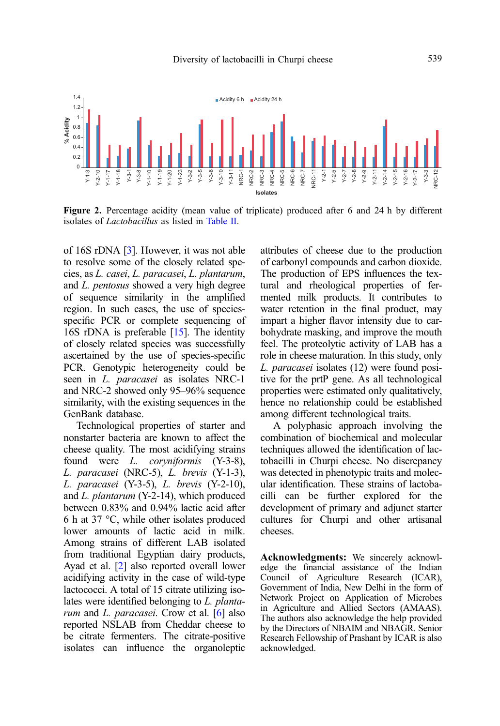<span id="page-8-0"></span>

Figure 2. Percentage acidity (mean value of triplicate) produced after 6 and 24 h by different isolates of Lactobacillus as listed in [Table II.](#page-5-0)

of 16S rDNA [[3\]](#page-9-0). However, it was not able to resolve some of the closely related species, as L. casei, L. paracasei, L. plantarum, and L. pentosus showed a very high degree of sequence similarity in the amplified region. In such cases, the use of speciesspecific PCR or complete sequencing of 16S rDNA is preferable [\[15](#page-9-0)]. The identity of closely related species was successfully ascertained by the use of species-specific PCR. Genotypic heterogeneity could be seen in *L. paracasei* as isolates NRC-1 and NRC-2 showed only 95–96% sequence similarity, with the existing sequences in the GenBank database.

Technological properties of starter and nonstarter bacteria are known to affect the cheese quality. The most acidifying strains found were L. coryniformis (Y-3-8), L. paracasei (NRC-5), L. brevis (Y-1-3), L. paracasei (Y-3-5), L. brevis (Y-2-10), and L. plantarum (Y-2-14), which produced between 0.83% and 0.94% lactic acid after 6 h at 37 °C, while other isolates produced lower amounts of lactic acid in milk. Among strains of different LAB isolated from traditional Egyptian dairy products, Ayad et al. [[2](#page-9-0)] also reported overall lower acidifying activity in the case of wild-type lactococci. A total of 15 citrate utilizing isolates were identified belonging to L. plantarum and L. paracasei. Crow et al. [[6](#page-9-0)] also reported NSLAB from Cheddar cheese to be citrate fermenters. The citrate-positive isolates can influence the organoleptic attributes of cheese due to the production of carbonyl compounds and carbon dioxide. The production of EPS influences the textural and rheological properties of fermented milk products. It contributes to water retention in the final product, may impart a higher flavor intensity due to carbohydrate masking, and improve the mouth feel. The proteolytic activity of LAB has a role in cheese maturation. In this study, only L. paracasei isolates (12) were found positive for the prtP gene. As all technological properties were estimated only qualitatively, hence no relationship could be established among different technological traits.

A polyphasic approach involving the combination of biochemical and molecular techniques allowed the identification of lactobacilli in Churpi cheese. No discrepancy was detected in phenotypic traits and molecular identification. These strains of lactobacilli can be further explored for the development of primary and adjunct starter cultures for Churpi and other artisanal cheeses.

Acknowledgments: We sincerely acknowledge the financial assistance of the Indian Council of Agriculture Research (ICAR), Government of India, New Delhi in the form of Network Project on Application of Microbes in Agriculture and Allied Sectors (AMAAS). The authors also acknowledge the help provided by the Directors of NBAIM and NBAGR. Senior Research Fellowship of Prashant by ICAR is also acknowledged.